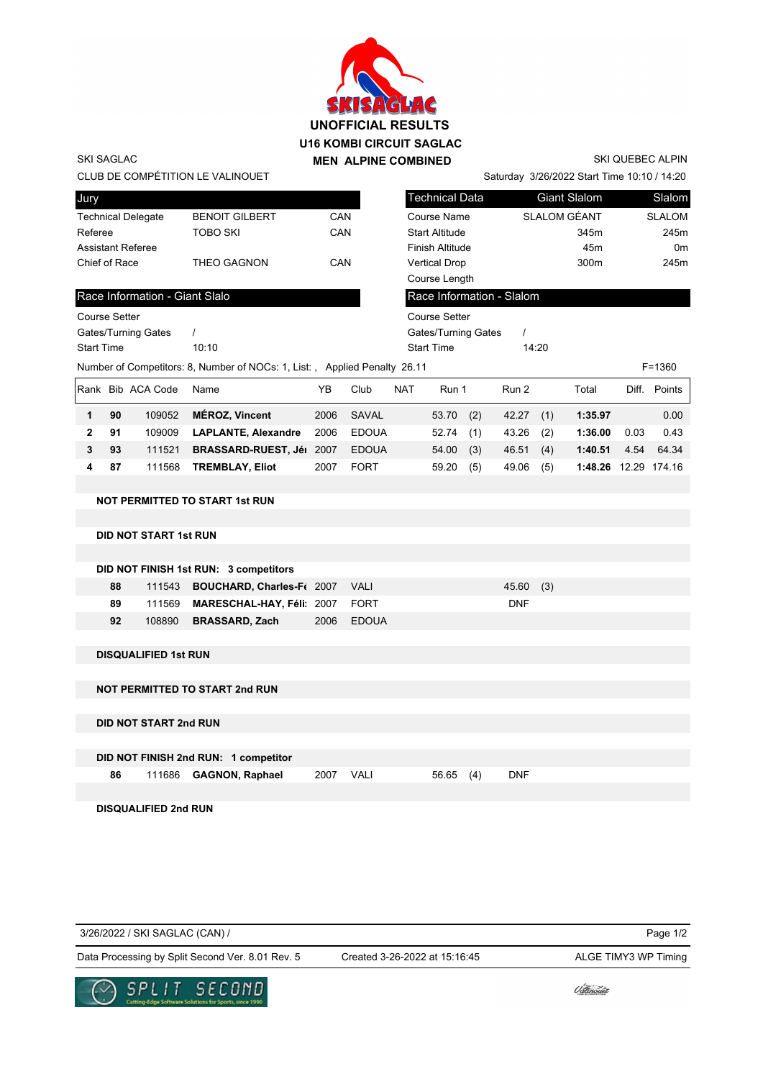

|                      |    |                                |                                                                           |      | <u>SMSHOLHG</u><br><b>UNOFFICIAL RESULTS</b><br><b>U16 KOMBI CIRCUIT SAGLAC</b> |            |                        |     |                           |     |                                             |      |                         |
|----------------------|----|--------------------------------|---------------------------------------------------------------------------|------|---------------------------------------------------------------------------------|------------|------------------------|-----|---------------------------|-----|---------------------------------------------|------|-------------------------|
| <b>SKI SAGLAC</b>    |    |                                |                                                                           |      | <b>MEN ALPINE COMBINED</b>                                                      |            |                        |     |                           |     |                                             |      | <b>SKI QUEBEC ALPIN</b> |
|                      |    |                                | CLUB DE COMPÉTITION LE VALINOUET                                          |      |                                                                                 |            |                        |     |                           |     | Saturday 3/26/2022 Start Time 10:10 / 14:20 |      |                         |
| Jury                 |    |                                |                                                                           |      |                                                                                 |            | <b>Technical Data</b>  |     |                           |     | <b>Giant Slalom</b>                         |      | Slalom                  |
|                      |    | <b>Technical Delegate</b>      | <b>BENOIT GILBERT</b>                                                     | CAN  |                                                                                 |            | Course Name            |     | SLALOM GÉANT              |     |                                             |      | <b>SLALOM</b>           |
| Referee              |    |                                | <b>TOBO SKI</b>                                                           | CAN  |                                                                                 |            | <b>Start Altitude</b>  |     |                           |     | 345m                                        |      | 245m                    |
|                      |    | <b>Assistant Referee</b>       |                                                                           |      |                                                                                 |            | <b>Finish Altitude</b> |     |                           |     | 45m                                         |      | 0 <sub>m</sub>          |
| Chief of Race        |    |                                | <b>THEO GAGNON</b>                                                        | CAN  |                                                                                 |            | <b>Vertical Drop</b>   |     |                           |     | 300m                                        |      | 245m                    |
|                      |    |                                |                                                                           |      |                                                                                 |            | Course Length          |     |                           |     |                                             |      |                         |
|                      |    | Race Information - Giant Slalo |                                                                           |      |                                                                                 |            |                        |     | Race Information - Slalom |     |                                             |      |                         |
| <b>Course Setter</b> |    |                                |                                                                           |      |                                                                                 |            | <b>Course Setter</b>   |     |                           |     |                                             |      |                         |
|                      |    | Gates/Turning Gates            | $\prime$                                                                  |      |                                                                                 |            | Gates/Turning Gates    |     | $\prime$                  |     |                                             |      |                         |
| <b>Start Time</b>    |    |                                | 10:10                                                                     |      |                                                                                 |            | <b>Start Time</b>      |     | 14:20                     |     |                                             |      |                         |
|                      |    |                                | Number of Competitors: 8, Number of NOCs: 1, List:, Applied Penalty 26.11 |      |                                                                                 |            |                        |     |                           |     |                                             |      | $F = 1360$              |
|                      |    | Rank Bib ACA Code              | Name                                                                      | YB   | Club                                                                            | <b>NAT</b> | Run 1                  |     | Run 2                     |     | Total                                       |      | Diff. Points            |
| 1                    | 90 | 109052                         | <b>MÉROZ, Vincent</b>                                                     | 2006 | <b>SAVAL</b>                                                                    |            | 53.70                  | (2) | 42.27                     | (1) | 1:35.97                                     |      | 0.00                    |
| $\overline{2}$       | 91 | 109009                         | <b>LAPLANTE, Alexandre</b>                                                | 2006 | <b>EDOUA</b>                                                                    |            | 52.74                  | (1) | 43.26                     | (2) | 1:36.00                                     | 0.03 | 0.43                    |
| 3                    | 93 | 111521                         | BRASSARD-RUEST, Jéi 2007                                                  |      | <b>EDOUA</b>                                                                    |            | 54.00                  | (3) | 46.51                     | (4) | 1:40.51                                     | 4.54 | 64.34                   |
| 4                    | 87 | 111568                         | <b>TREMBLAY, Eliot</b>                                                    | 2007 | <b>FORT</b>                                                                     |            | 59.20                  | (5) | 49.06                     | (5) | 1:48.26 12.29 174.16                        |      |                         |
|                      |    |                                |                                                                           |      |                                                                                 |            |                        |     |                           |     |                                             |      |                         |
|                      |    |                                | <b>NOT PERMITTED TO START 1st RUN</b>                                     |      |                                                                                 |            |                        |     |                           |     |                                             |      |                         |
|                      |    | <b>DID NOT START 1st RUN</b>   |                                                                           |      |                                                                                 |            |                        |     |                           |     |                                             |      |                         |
|                      |    |                                |                                                                           |      |                                                                                 |            |                        |     |                           |     |                                             |      |                         |
|                      |    |                                | DID NOT FINISH 1st RUN: 3 competitors                                     |      |                                                                                 |            |                        |     |                           |     |                                             |      |                         |
|                      | 88 | 111543                         | BOUCHARD, Charles-Ft 2007                                                 |      | <b>VALI</b>                                                                     |            |                        |     | 45.60                     | (3) |                                             |      |                         |
|                      | 89 | 111569                         | MARESCHAL-HAY, Féli: 2007                                                 |      | <b>FORT</b>                                                                     |            |                        |     | <b>DNF</b>                |     |                                             |      |                         |
|                      | 92 | 108890                         | <b>BRASSARD, Zach</b>                                                     | 2006 | <b>EDOUA</b>                                                                    |            |                        |     |                           |     |                                             |      |                         |
|                      |    |                                |                                                                           |      |                                                                                 |            |                        |     |                           |     |                                             |      |                         |
|                      |    | <b>DISQUALIFIED 1st RUN</b>    |                                                                           |      |                                                                                 |            |                        |     |                           |     |                                             |      |                         |
|                      |    |                                |                                                                           |      |                                                                                 |            |                        |     |                           |     |                                             |      |                         |
|                      |    |                                | <b>NOT PERMITTED TO START 2nd RUN</b>                                     |      |                                                                                 |            |                        |     |                           |     |                                             |      |                         |

**DID NOT START 2nd RUN**

|    | DID NOT FINISH 2nd RUN: 1 competitor |           |           |            |
|----|--------------------------------------|-----------|-----------|------------|
| 86 | 111686 GAGNON, Raphael               | 2007 VALI | 56.65 (4) | <b>DNF</b> |

**DISQUALIFIED 2nd RUN**

Page 1/2 Data Processing by Split Second Ver. 8.01 Rev. 5 Created 3-26-2022 at 15:16:45 ALGE TIMY3 WP Timing 3/26/2022 / SKI SAGLAC (CAN) / Created 3-26-2022 at 15:16:45